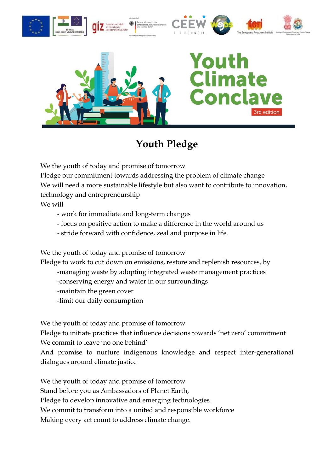

## **Youth Pledge**

We the youth of today and promise of tomorrow

Pledge our commitment towards addressing the problem of climate change We will need a more sustainable lifestyle but also want to contribute to innovation, technology and entrepreneurship

We will

- work for immediate and long-term changes
- focus on positive action to make a difference in the world around us
- stride forward with confidence, zeal and purpose in life.

We the youth of today and promise of tomorrow

Pledge to work to cut down on emissions, restore and replenish resources, by

- -managing waste by adopting integrated waste management practices
	- -conserving energy and water in our surroundings
	- -maintain the green cover
	- -limit our daily consumption

We the youth of today and promise of tomorrow

Pledge to initiate practices that influence decisions towards 'net zero' commitment We commit to leave 'no one behind'

And promise to nurture indigenous knowledge and respect inter-generational dialogues around climate justice

We the youth of today and promise of tomorrow Stand before you as Ambassadors of Planet Earth, Pledge to develop innovative and emerging technologies We commit to transform into a united and responsible workforce Making every act count to address climate change.